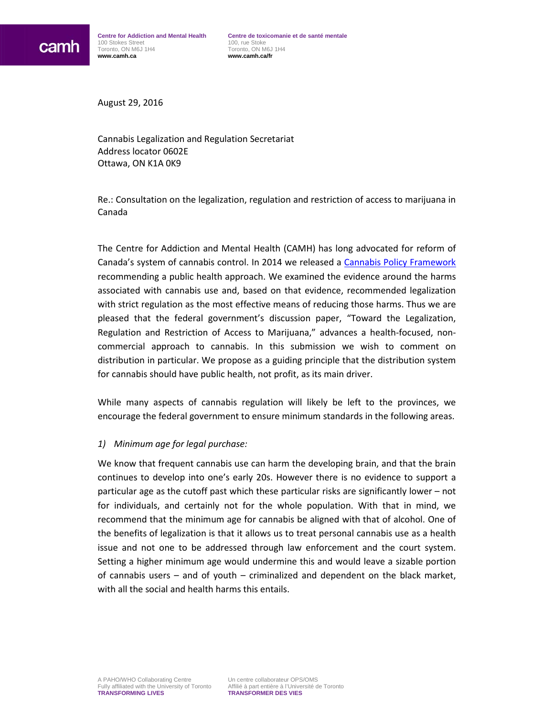August 29, 2016

Cannabis Legalization and Regulation Secretariat Address locator 0602E Ottawa, ON K1A 0K9

Re.: Consultation on the legalization, regulation and restriction of access to marijuana in Canada

The Centre for Addiction and Mental Health (CAMH) has long advocated for reform of Canada's system of cannabis control. In 2014 we released a [Cannabis Policy Framework](https://www.camh.ca/en/hospital/about_camh/influencing_public_policy/Documents/CAMHCannabisPolicyFramework.pdf) recommending a public health approach. We examined the evidence around the harms associated with cannabis use and, based on that evidence, recommended legalization with strict regulation as the most effective means of reducing those harms. Thus we are pleased that the federal government's discussion paper, "Toward the Legalization, Regulation and Restriction of Access to Marijuana," advances a health-focused, noncommercial approach to cannabis. In this submission we wish to comment on distribution in particular. We propose as a guiding principle that the distribution system for cannabis should have public health, not profit, as its main driver.

While many aspects of cannabis regulation will likely be left to the provinces, we encourage the federal government to ensure minimum standards in the following areas.

#### *1) Minimum age for legal purchase:*

We know that frequent cannabis use can harm the developing brain, and that the brain continues to develop into one's early 20s. However there is no evidence to support a particular age as the cutoff past which these particular risks are significantly lower – not for individuals, and certainly not for the whole population. With that in mind, we recommend that the minimum age for cannabis be aligned with that of alcohol. One of the benefits of legalization is that it allows us to treat personal cannabis use as a health issue and not one to be addressed through law enforcement and the court system. Setting a higher minimum age would undermine this and would leave a sizable portion of cannabis users – and of youth – criminalized and dependent on the black market, with all the social and health harms this entails.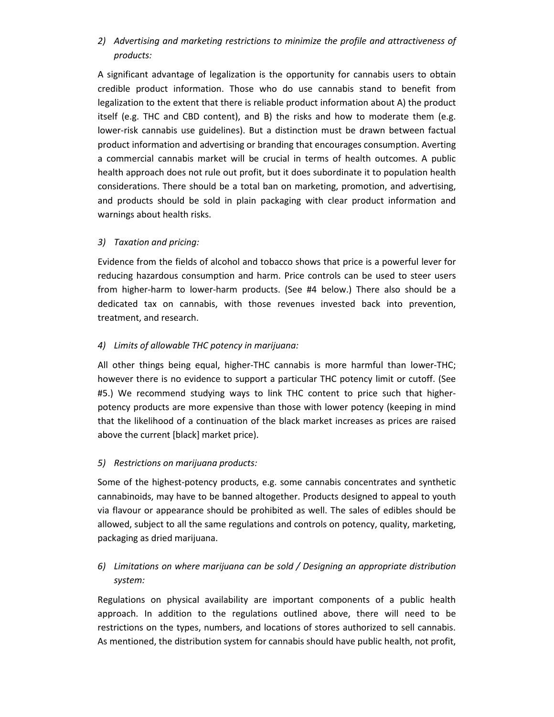# *2) Advertising and marketing restrictions to minimize the profile and attractiveness of products:*

A significant advantage of legalization is the opportunity for cannabis users to obtain credible product information. Those who do use cannabis stand to benefit from legalization to the extent that there is reliable product information about A) the product itself (e.g. THC and CBD content), and B) the risks and how to moderate them (e.g. lower-risk cannabis use guidelines). But a distinction must be drawn between factual product information and advertising or branding that encourages consumption. Averting a commercial cannabis market will be crucial in terms of health outcomes. A public health approach does not rule out profit, but it does subordinate it to population health considerations. There should be a total ban on marketing, promotion, and advertising, and products should be sold in plain packaging with clear product information and warnings about health risks.

### *3) Taxation and pricing:*

Evidence from the fields of alcohol and tobacco shows that price is a powerful lever for reducing hazardous consumption and harm. Price controls can be used to steer users from higher-harm to lower-harm products. (See #4 below.) There also should be a dedicated tax on cannabis, with those revenues invested back into prevention, treatment, and research.

### *4) Limits of allowable THC potency in marijuana:*

All other things being equal, higher-THC cannabis is more harmful than lower-THC; however there is no evidence to support a particular THC potency limit or cutoff. (See #5.) We recommend studying ways to link THC content to price such that higherpotency products are more expensive than those with lower potency (keeping in mind that the likelihood of a continuation of the black market increases as prices are raised above the current [black] market price).

## *5) Restrictions on marijuana products:*

Some of the highest-potency products, e.g. some cannabis concentrates and synthetic cannabinoids, may have to be banned altogether. Products designed to appeal to youth via flavour or appearance should be prohibited as well. The sales of edibles should be allowed, subject to all the same regulations and controls on potency, quality, marketing, packaging as dried marijuana.

# *6) Limitations on where marijuana can be sold / Designing an appropriate distribution system:*

Regulations on physical availability are important components of a public health approach. In addition to the regulations outlined above, there will need to be restrictions on the types, numbers, and locations of stores authorized to sell cannabis. As mentioned, the distribution system for cannabis should have public health, not profit,